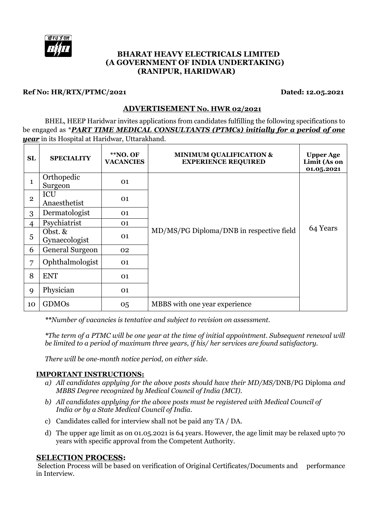

## **BHARAT HEAVY ELECTRICALS LIMITED (A GOVERNMENT OF INDIA UNDERTAKING) (RANIPUR, HARIDWAR)**

#### **Ref No: HR/RTX/PTMC/2021 Dated: 12.05.2021**

## **ADVERTISEMENT No. HWR 02/2021**

BHEL, HEEP Haridwar invites applications from candidates fulfilling the following specifications to be engaged as \**PART TIME MEDICAL CONSULTANTS (PTMCs) initially for a period of one year* in its Hospital at Haridwar, Uttarakhand.

| SL           | <b>SPECIALITY</b>          | **NO. OF<br><b>VACANCIES</b> | <b>MINIMUM QUALIFICATION &amp;</b><br><b>EXPERIENCE REQUIRED</b> | <b>Upper Age</b><br>Limit (As on<br>01.05.2021 |
|--------------|----------------------------|------------------------------|------------------------------------------------------------------|------------------------------------------------|
| $\mathbf{1}$ | Orthopedic<br>Surgeon      | 01                           |                                                                  |                                                |
| $\mathbf{2}$ | ICU<br>Anaesthetist        | 01                           |                                                                  |                                                |
| 3            | Dermatologist              | 01                           |                                                                  |                                                |
| 4            | Psychiatrist               | 01                           |                                                                  | 64 Years                                       |
| 5            | Obst. $&$<br>Gynaecologist | 01                           | MD/MS/PG Diploma/DNB in respective field                         |                                                |
| 6            | General Surgeon            | 02                           |                                                                  |                                                |
| 7            | Ophthalmologist            | 01                           |                                                                  |                                                |
| 8            | <b>ENT</b>                 | 01                           |                                                                  |                                                |
| 9            | Physician                  | 01                           |                                                                  |                                                |
| 10           | <b>GDMOs</b>               | 05                           | MBBS with one year experience                                    |                                                |

*\*\*Number of vacancies is tentative and subject to revision on assessment.*

*\*The term of a PTMC will be one year at the time of initial appointment. Subsequent renewal will be limited to a period of maximum three years, if his/ her services are found satisfactory.* 

*There will be one-month notice period, on either side.* 

## **IMPORTANT INSTRUCTIONS:**

- *a) All candidates applying for the above posts should have their MD/MS/*DNB/PG Diploma *and MBBS Degree recognized by Medical Council of India (MCI).*
- *b) All candidates applying for the above posts must be registered with Medical Council of India or by a State Medical Council of India.*
- c) Candidates called for interview shall not be paid any TA / DA.
- d) The upper age limit as on 01.05.2021 is 64 years. However, the age limit may be relaxed upto 70 years with specific approval from the Competent Authority.

#### **SELECTION PROCESS:**

Selection Process will be based on verification of Original Certificates/Documents and performance in Interview.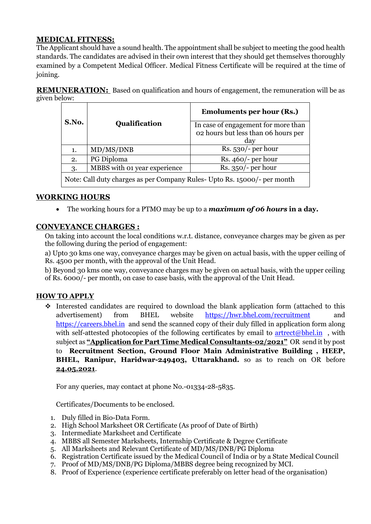# **MEDICAL FITNESS:**

The Applicant should have a sound health. The appointment shall be subject to meeting the good health standards. The candidates are advised in their own interest that they should get themselves thoroughly examined by a Competent Medical Officer. Medical Fitness Certificate will be required at the time of joining.

**REMUNERATION:** Based on qualification and hours of engagement, the remuneration will be as given below:

|                                                                          |                              | <b>Emoluments per hour (Rs.)</b>           |  |  |
|--------------------------------------------------------------------------|------------------------------|--------------------------------------------|--|--|
| S.No.                                                                    | Qualification                | In case of engagement for more than        |  |  |
|                                                                          |                              | 02 hours but less than 06 hours per<br>day |  |  |
| 1.                                                                       | MD/MS/DNB                    | $Rs. 530/-$ per hour                       |  |  |
| 2.                                                                       | PG Diploma                   | Rs. $460/-$ per hour                       |  |  |
| 3.                                                                       | MBBS with 01 year experience | $Rs. 350/-$ per hour                       |  |  |
| Note: Call duty charges as per Company Rules- Upto Rs. 15000/- per month |                              |                                            |  |  |

# **WORKING HOURS**

The working hours for a PTMO may be up to a *maximum of 06 hours* **in a day.**

# **CONVEYANCE CHARGES :**

On taking into account the local conditions w.r.t. distance, conveyance charges may be given as per the following during the period of engagement:

a) Upto 30 kms one way, conveyance charges may be given on actual basis, with the upper ceiling of Rs. 4500 per month, with the approval of the Unit Head.

b) Beyond 30 kms one way, conveyance charges may be given on actual basis, with the upper ceiling of Rs. 6000/- per month, on case to case basis, with the approval of the Unit Head.

# **HOW TO APPLY**

 $\cdot$  Interested candidates are required to download the blank application form (attached to this advertisement) from BHEL website <https://hwr.bhel.com/recruitment> and [https://careers.bhel.in](https://careers.bhel.in/) and send the scanned copy of their duly filled in application form along with self-attested photocopies of the following certificates by email to [artrect@bhel.in](mailto:artrect@bhel.in), with subject as **"Application for Part Time Medical Consultants-02/2021"** OR send it by post to **Recruitment Section, Ground Floor Main Administrative Building , HEEP, BHEL, Ranipur, Haridwar-249403, Uttarakhand.** so as to reach on OR before **24.05.2021**.

For any queries, may contact at phone No.-01334-28-5835.

Certificates/Documents to be enclosed.

- 1. Duly filled in Bio-Data Form.
- 2. High School Marksheet OR Certificate (As proof of Date of Birth)
- 3. Intermediate Marksheet and Certificate
- 4. MBBS all Semester Marksheets, Internship Certificate & Degree Certificate
- 5. All Marksheets and Relevant Certificate of MD/MS/DNB/PG Diploma
- 6. Registration Certificate issued by the Medical Council of India or by a State Medical Council
- 7. Proof of MD/MS/DNB/PG Diploma/MBBS degree being recognized by MCI.
- 8. Proof of Experience (experience certificate preferably on letter head of the organisation)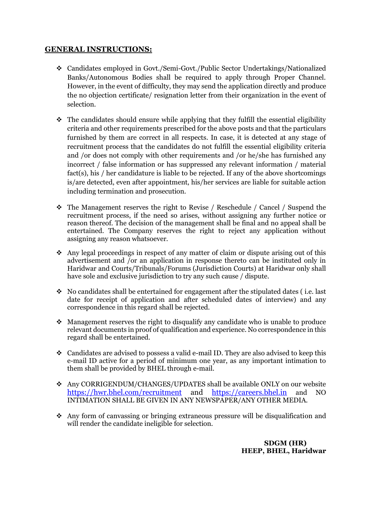# **GENERAL INSTRUCTIONS:**

- Candidates employed in Govt./Semi-Govt./Public Sector Undertakings/Nationalized Banks/Autonomous Bodies shall be required to apply through Proper Channel. However, in the event of difficulty, they may send the application directly and produce the no objection certificate/ resignation letter from their organization in the event of selection.
- $\cdot$  The candidates should ensure while applying that they fulfill the essential eligibility criteria and other requirements prescribed for the above posts and that the particulars furnished by them are correct in all respects. In case, it is detected at any stage of recruitment process that the candidates do not fulfill the essential eligibility criteria and /or does not comply with other requirements and /or he/she has furnished any incorrect / false information or has suppressed any relevant information / material fact(s), his / her candidature is liable to be rejected. If any of the above shortcomings is/are detected, even after appointment, his/her services are liable for suitable action including termination and prosecution.
- The Management reserves the right to Revise / Reschedule / Cancel / Suspend the recruitment process, if the need so arises, without assigning any further notice or reason thereof. The decision of the management shall be final and no appeal shall be entertained. The Company reserves the right to reject any application without assigning any reason whatsoever.
- Any legal proceedings in respect of any matter of claim or dispute arising out of this advertisement and /or an application in response thereto can be instituted only in Haridwar and Courts/Tribunals/Forums (Jurisdiction Courts) at Haridwar only shall have sole and exclusive jurisdiction to try any such cause / dispute.
- No candidates shall be entertained for engagement after the stipulated dates (i.e. last date for receipt of application and after scheduled dates of interview) and any correspondence in this regard shall be rejected.
- Management reserves the right to disqualify any candidate who is unable to produce relevant documents in proof of qualification and experience. No correspondence in this regard shall be entertained.
- $\triangleleft$  Candidates are advised to possess a valid e-mail ID. They are also advised to keep this e-mail ID active for a period of minimum one year, as any important intimation to them shall be provided by BHEL through e-mail.
- Any CORRIGENDUM/CHANGES/UPDATES shall be available ONLY on our website<br>https://hwr.bhel.com/recruitment and https://careers.bhel.in and NO <https://hwr.bhel.com/recruitment> and [https://careers.bhel.in](https://careers.bhel.in/) and NO INTIMATION SHALL BE GIVEN IN ANY NEWSPAPER/ANY OTHER MEDIA.
- Any form of canvassing or bringing extraneous pressure will be disqualification and will render the candidate ineligible for selection.

 **SDGM (HR) HEEP, BHEL, Haridwar**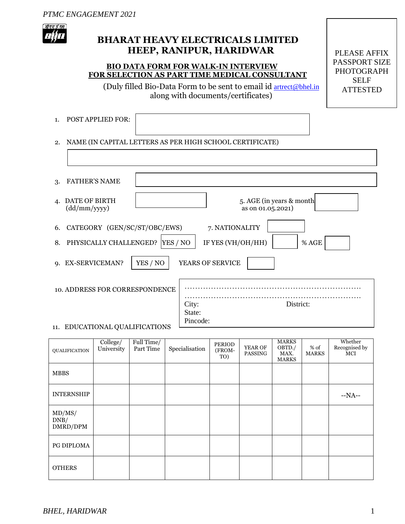

# **BHARAT HEAVY ELECTRICALS LIMITED HEEP, RANIPUR, HARIDWAR**

# **BIO DATA FORM FOR WALK-IN INTERVIEW FOR SELECTION AS PART TIME MEDICAL CONSULTANT**

(Duly filled Bio-Data Form to be sent to email id [artrect@bhel.in](mailto:artrect@bhel.in) along with documents/certificates)

PLEASE AFFIX PASSPORT SIZE PHOTOGRAPH SELF ATTESTED

| 1. POST APPLIED FOR: |                                                             |  |
|----------------------|-------------------------------------------------------------|--|
|                      | 2. NAME (IN CAPITAL LETTERS AS PER HIGH SCHOOL CERTIFICATE) |  |
|                      |                                                             |  |

| <b>FATHER'S NAME</b><br>3.               |                                                |
|------------------------------------------|------------------------------------------------|
| DATE OF BIRTH<br>4.<br>(dd/mm/yyyy)      | 5. AGE (in years & month)<br>as on 01.05.2021) |
| CATEGORY (GEN/SC/ST/OBC/EWS)<br>6.       | 7. NATIONALITY                                 |
| PHYSICALLY CHALLENGED?<br>YES / NO<br>8. | IF YES (VH/OH/HH)<br>% AGE                     |
| YES / NO<br>9. EX-SERVICEMAN?            | <b>YEARS OF SERVICE</b>                        |
| <b>10. ADDRESS FOR CORRESPONDENCE</b>    |                                                |
|                                          | District:<br>City:                             |
|                                          | State:<br>Pincode:                             |
| 11. EDUCATIONAL QUALIFICATIONS           |                                                |

| QUALIFICATION              | College/<br>University | Full Time/<br>Part Time | Specialisation | PERIOD<br>(FROM-<br>TO) | YEAR OF<br>PASSING | <b>MARKS</b><br>OBTD./<br>MAX.<br><b>MARKS</b> | % of<br><b>MARKS</b> | Whether<br>Recognised by<br>MCI |
|----------------------------|------------------------|-------------------------|----------------|-------------------------|--------------------|------------------------------------------------|----------------------|---------------------------------|
| <b>MBBS</b>                |                        |                         |                |                         |                    |                                                |                      |                                 |
| <b>INTERNSHIP</b>          |                        |                         |                |                         |                    |                                                |                      | $-NA-$                          |
| MD/MS/<br>DNB/<br>DMRD/DPM |                        |                         |                |                         |                    |                                                |                      |                                 |
| PG DIPLOMA                 |                        |                         |                |                         |                    |                                                |                      |                                 |
| <b>OTHERS</b>              |                        |                         |                |                         |                    |                                                |                      |                                 |